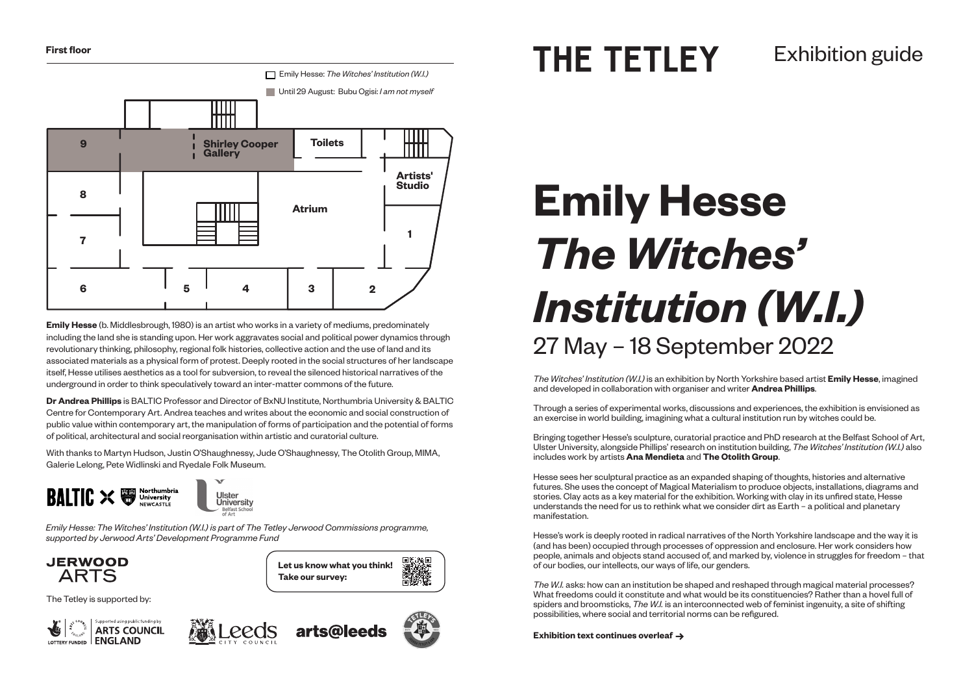# **Emily Hesse** *The Witches' Institution (W.I.)* 27 May – 18 September 2022



**Emily Hesse** (b. Middlesbrough, 1980) is an artist who works in a variety of mediums, predominately including the land she is standing upon. Her work aggravates social and political power dynamics through revolutionary thinking, philosophy, regional folk histories, collective action and the use of land and its associated materials as a physical form of protest. Deeply rooted in the social structures of her landscape itself, Hesse utilises aesthetics as a tool for subversion, to reveal the silenced historical narratives of the underground in order to think speculatively toward an inter-matter commons of the future.

**Dr Andrea Phillips** is BALTIC Professor and Director of BxNU Institute, Northumbria University & BALTIC Centre for Contemporary Art. Andrea teaches and writes about the economic and social construction of public value within contemporary art, the manipulation of forms of participation and the potential of forms of political, architectural and social reorganisation within artistic and curatorial culture.

With thanks to Martyn Hudson, Justin O'Shaughnessy, Jude O'Shaughnessy, The Otolith Group, MIMA, Galerie Lelong, Pete Widlinski and Ryedale Folk Museum.





The Tetley is supported by:





*The Witches' Institution (W.I.)* is an exhibition by North Yorkshire based artist **Emily Hesse**, imagined and developed in collaboration with organiser and writer **Andrea Phillips**.

Through a series of experimental works, discussions and experiences, the exhibition is envisioned as an exercise in world building, imagining what a cultural institution run by witches could be.

Bringing together Hesse's sculpture, curatorial practice and PhD research at the Belfast School of Art, Ulster University, alongside Phillips' research on institution building, *The Witches' Institution (W.I.)* also includes work by artists **Ana Mendieta** and **The Otolith Group**.

Hesse sees her sculptural practice as an expanded shaping of thoughts, histories and alternative futures. She uses the concept of Magical Materialism to produce objects, installations, diagrams and stories. Clay acts as a key material for the exhibition. Working with clay in its unfired state, Hesse understands the need for us to rethink what we consider dirt as Earth – a political and planetary manifestation.

Hesse's work is deeply rooted in radical narratives of the North Yorkshire landscape and the way it is (and has been) occupied through processes of oppression and enclosure. Her work considers how people, animals and objects stand accused of, and marked by, violence in struggles for freedom – that of our bodies, our intellects, our ways of life, our genders.

*The W.I.* asks: how can an institution be shaped and reshaped through magical material processes? What freedoms could it constitute and what would be its constituencies? Rather than a hovel full of spiders and broomsticks, *The W.I.* is an interconnected web of feminist ingenuity, a site of shifting possibilities, where social and territorial norms can be refigured.

**Exhibition text continues overleaf**





arts@leeds

*Emily Hesse: The Witches' Institution (W.I.) is part of The Tetley Jerwood Commissions programme, supported by Jerwood Arts' Development Programme Fund*

**JERWOOD ARTS**